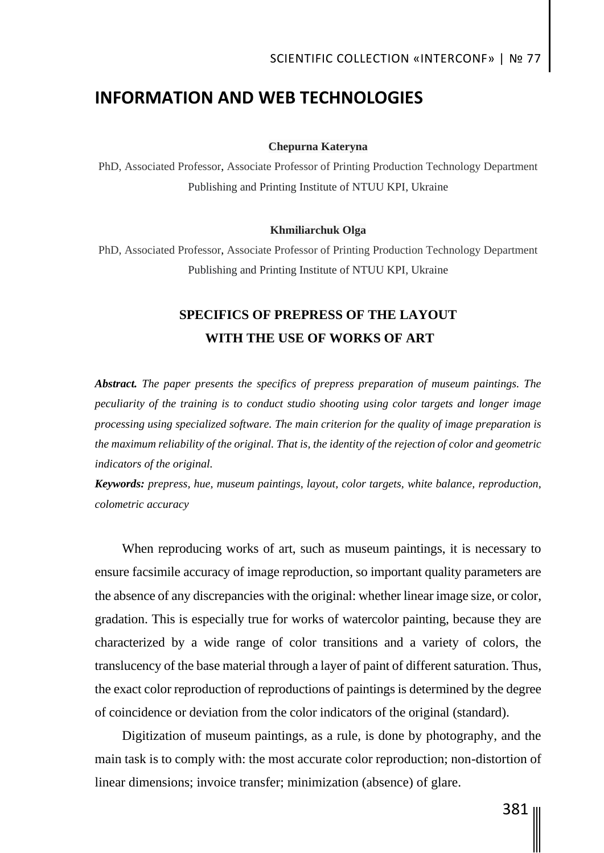## **INFORMATION AND WEB TECHNOLOGIES**

#### **Chepurna Kateryna**

PhD, Associated Professor, Associate Professor of Printing Production Technology Department Publishing and Printing Institute of NTUU KPI, Ukraine

#### **Khmiliarchuk Olga**

PhD, Associated Professor, Associate Professor of Printing Production Technology Department Publishing and Printing Institute of NTUU KPI, Ukraine

## **SPECIFICS OF PREPRESS OF THE LAYOUT WITH THE USE OF WORKS OF ART**

*Abstract. The paper presents the specifics of prepress preparation of museum paintings. The peculiarity of the training is to conduct studio shooting using color targets and longer image processing using specialized software. The main criterion for the quality of image preparation is the maximum reliability of the original. That is, the identity of the rejection of color and geometric indicators of the original.*

*Keywords: prepress, hue, museum paintings, layout, color targets, white balance, reproduction, colometric accuracy*

When reproducing works of art, such as museum paintings, it is necessary to ensure facsimile accuracy of image reproduction, so important quality parameters are the absence of any discrepancies with the original: whether linear image size, or color, gradation. This is especially true for works of watercolor painting, because they are characterized by a wide range of color transitions and a variety of colors, the translucency of the base material through a layer of paint of different saturation. Thus, the exact color reproduction of reproductions of paintings is determined by the degree of coincidence or deviation from the color indicators of the original (standard).

Digitization of museum paintings, as a rule, is done by photography, and the main task is to comply with: the most accurate color reproduction; non-distortion of linear dimensions; invoice transfer; minimization (absence) of glare.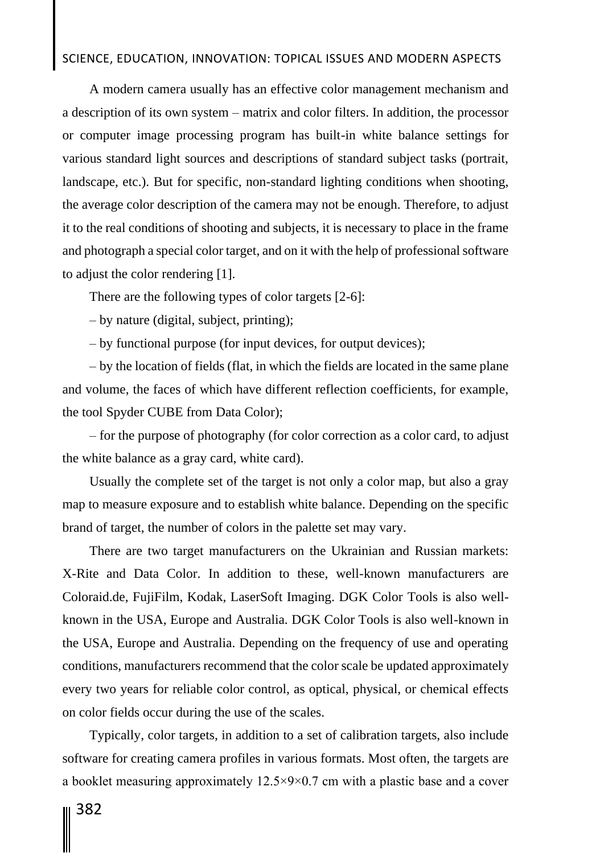# SCIENCE, EDUCATION, INNOVATION: TOPICAL ISSUES AND MODERN ASPECTS

A modern camera usually has an effective color management mechanism and a description of its own system – matrix and color filters. In addition, the processor or computer image processing program has built-in white balance settings for various standard light sources and descriptions of standard subject tasks (portrait, landscape, etc.). But for specific, non-standard lighting conditions when shooting, the average color description of the camera may not be enough. Therefore, to adjust it to the real conditions of shooting and subjects, it is necessary to place in the frame and photograph a special color target, and on it with the help of professional software to adjust the color rendering [1].

There are the following types of color targets [2-6]:

– by nature (digital, subject, printing);

– by functional purpose (for input devices, for output devices);

– by the location of fields (flat, in which the fields are located in the same plane and volume, the faces of which have different reflection coefficients, for example, the tool Spyder CUBE from Data Color);

– for the purpose of photography (for color correction as a color card, to adjust the white balance as a gray card, white card).

Usually the complete set of the target is not only a color map, but also a gray map to measure exposure and to establish white balance. Depending on the specific brand of target, the number of colors in the palette set may vary.

There are two target manufacturers on the Ukrainian and Russian markets: X-Rite and Data Color. In addition to these, well-known manufacturers are Coloraid.de, FujiFilm, Kodak, LaserSoft Imaging. DGK Color Tools is also wellknown in the USA, Europe and Australia. DGK Color Tools is also well-known in the USA, Europe and Australia. Depending on the frequency of use and operating conditions, manufacturers recommend that the color scale be updated approximately every two years for reliable color control, as optical, physical, or chemical effects on color fields occur during the use of the scales.

Typically, color targets, in addition to a set of calibration targets, also include software for creating camera profiles in various formats. Most often, the targets are a booklet measuring approximately 12.5×9×0.7 cm with a plastic base and a cover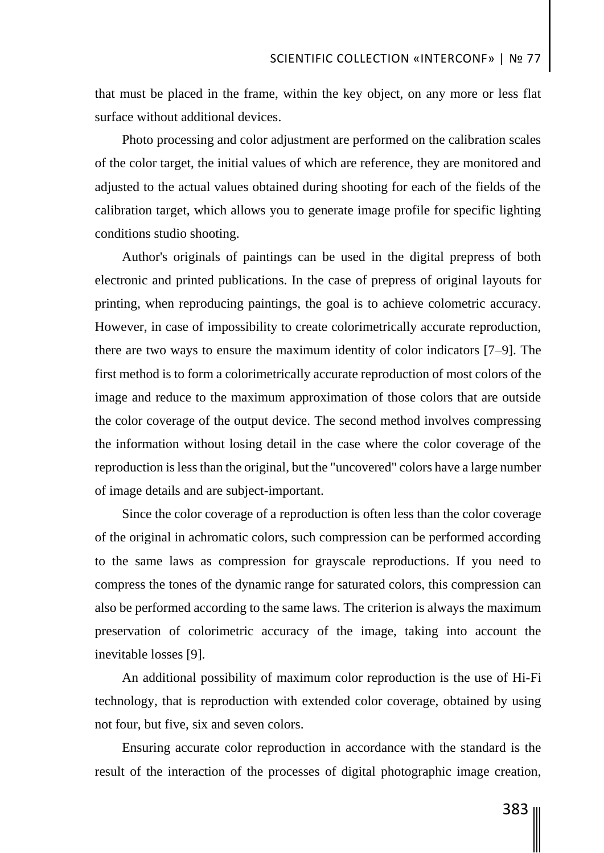that must be placed in the frame, within the key object, on any more or less flat surface without additional devices.

Photo processing and color adjustment are performed on the calibration scales of the color target, the initial values of which are reference, they are monitored and adjusted to the actual values obtained during shooting for each of the fields of the calibration target, which allows you to generate image profile for specific lighting conditions studio shooting.

Author's originals of paintings can be used in the digital prepress of both electronic and printed publications. In the case of prepress of original layouts for printing, when reproducing paintings, the goal is to achieve colometric accuracy. However, in case of impossibility to create colorimetrically accurate reproduction, there are two ways to ensure the maximum identity of color indicators [7–9]. The first method is to form a colorimetrically accurate reproduction of most colors of the image and reduce to the maximum approximation of those colors that are outside the color coverage of the output device. The second method involves compressing the information without losing detail in the case where the color coverage of the reproduction is less than the original, but the "uncovered" colors have a large number of image details and are subject-important.

Since the color coverage of a reproduction is often less than the color coverage of the original in achromatic colors, such compression can be performed according to the same laws as compression for grayscale reproductions. If you need to compress the tones of the dynamic range for saturated colors, this compression can also be performed according to the same laws. The criterion is always the maximum preservation of colorimetric accuracy of the image, taking into account the inevitable losses [9].

An additional possibility of maximum color reproduction is the use of Hi-Fi technology, that is reproduction with extended color coverage, obtained by using not four, but five, six and seven colors.

Ensuring accurate color reproduction in accordance with the standard is the result of the interaction of the processes of digital photographic image creation,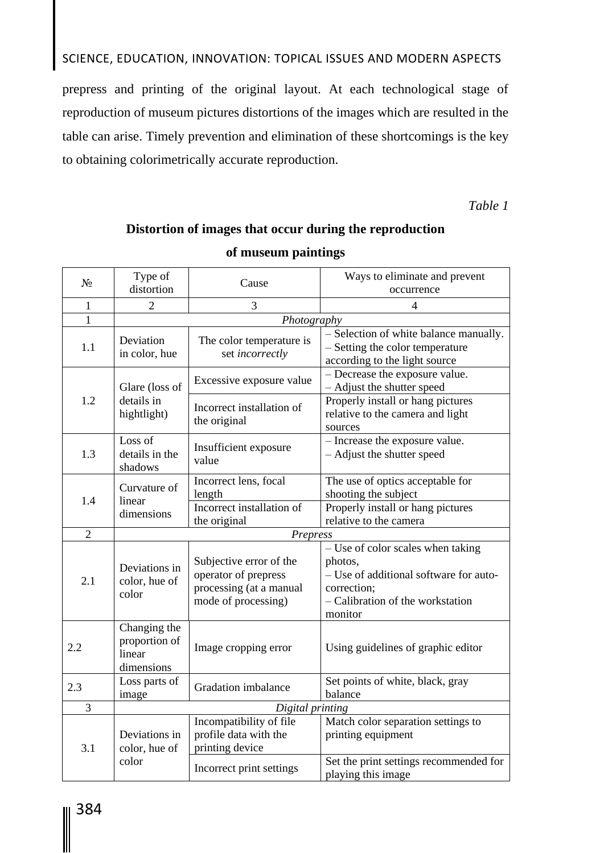# SCIENCE, EDUCATION, INNOVATION: TOPICAL ISSUES AND MODERN ASPECTS

prepress and printing of the original layout. At each technological stage of reproduction of museum pictures distortions of the images which are resulted in the table can arise. Timely prevention and elimination of these shortcomings is the key to obtaining colorimetrically accurate reproduction.

*Table 1*

## **Distortion of images that occur during the reproduction of museum paintings**

| $N_2$          | Type of<br>distortion                                 | Cause                                                                                             | Ways to eliminate and prevent                                                                                                                        |
|----------------|-------------------------------------------------------|---------------------------------------------------------------------------------------------------|------------------------------------------------------------------------------------------------------------------------------------------------------|
|                |                                                       |                                                                                                   | occurrence                                                                                                                                           |
| 1              | $\overline{2}$                                        | 3                                                                                                 | $\overline{4}$                                                                                                                                       |
| 1              | Photography                                           |                                                                                                   |                                                                                                                                                      |
| 1.1            | Deviation<br>in color, hue                            | The color temperature is<br>set incorrectly                                                       | - Selection of white balance manually.<br>- Setting the color temperature<br>according to the light source                                           |
| 1.2            | Glare (loss of<br>details in<br>hightlight)           | Excessive exposure value                                                                          | - Decrease the exposure value.<br>- Adjust the shutter speed                                                                                         |
|                |                                                       | Incorrect installation of<br>the original                                                         | Properly install or hang pictures<br>relative to the camera and light<br>sources                                                                     |
| 1.3            | Loss of<br>details in the<br>shadows                  | Insufficient exposure<br>value                                                                    | - Increase the exposure value.<br>- Adjust the shutter speed                                                                                         |
| 1.4            | Curvature of<br>linear<br>dimensions                  | Incorrect lens, focal<br>length                                                                   | The use of optics acceptable for<br>shooting the subject                                                                                             |
|                |                                                       | Incorrect installation of<br>the original                                                         | Properly install or hang pictures<br>relative to the camera                                                                                          |
| $\overline{2}$ | Prepress                                              |                                                                                                   |                                                                                                                                                      |
| 2.1            | Deviations in<br>color, hue of<br>color               | Subjective error of the<br>operator of prepress<br>processing (at a manual<br>mode of processing) | - Use of color scales when taking<br>photos,<br>- Use of additional software for auto-<br>correction;<br>- Calibration of the workstation<br>monitor |
| 2.2            | Changing the<br>proportion of<br>linear<br>dimensions | Image cropping error                                                                              | Using guidelines of graphic editor                                                                                                                   |
| 2.3            | Loss parts of<br>image                                | Gradation imbalance                                                                               | Set points of white, black, gray<br>balance                                                                                                          |
| 3              | Digital printing                                      |                                                                                                   |                                                                                                                                                      |
| 3.1            | Deviations in<br>color, hue of<br>color               | Incompatibility of file<br>profile data with the<br>printing device                               | Match color separation settings to<br>printing equipment                                                                                             |
|                |                                                       | Incorrect print settings                                                                          | Set the print settings recommended for<br>playing this image                                                                                         |